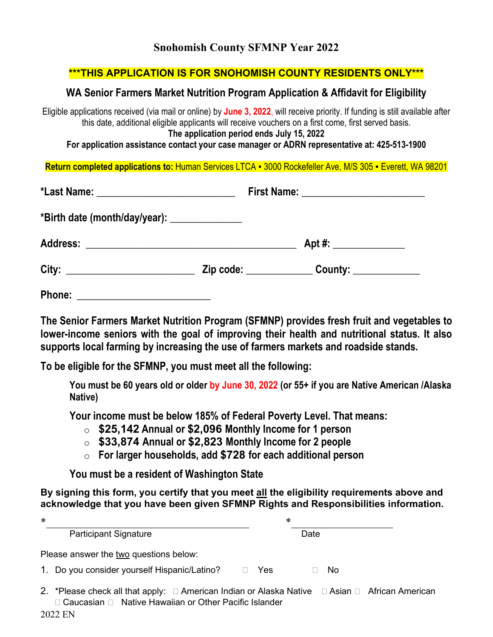# **Snohomish County SFMNP Year 2022**

## **\*\*\*THIS APPLICATION IS FOR SNOHOMISH COUNTY RESIDENTS ONLY\*\*\***

## **WA Senior Farmers Market Nutrition Program Application & Affidavit for Eligibility**

Eligible applications received (via mail or online) by **June 3, 2022**, will receive priority. If funding is still available after this date, additional eligible applicants will receive vouchers on a first come, first served basis. **The application period ends July 15, 2022**

**For application assistance contact your case manager or ADRN representative at: 425-513-1900**

**Return completed applications to:** Human Services LTCA ▪ 3000 Rockefeller Ave, M/S 305 ▪ Everett, WA 98201

| *Birth date (month/day/year): _______________ |                      |
|-----------------------------------------------|----------------------|
|                                               | Apt #: $\frac{2}{1}$ |
|                                               |                      |
| Phone:                                        |                      |

**The Senior Farmers Market Nutrition Program (SFMNP) provides fresh fruit and vegetables to lower-income seniors with the goal of improving their health and nutritional status. It also supports local farming by increasing the use of farmers markets and roadside stands.**

**To be eligible for the SFMNP, you must meet all the following:**

**You must be 60 years old or older by June 30, 2022 (or 55+ if you are Native American /Alaska Native)**

**Your income must be below 185% of Federal Poverty Level. That means:**

- o **\$25,142 Annual or \$2,096 Monthly Income for 1 person**
- o **\$33,874 Annual or \$2,823 Monthly Income for 2 people**
- o **For larger households, add \$728 for each additional person**

**You must be a resident of Washington State**

**By signing this form, you certify that you meet all the eligibility requirements above and acknowledge that you have been given SFMNP Rights and Responsibilities information.**

| $\ast$ | *                                                                                                                                                                     |  |
|--------|-----------------------------------------------------------------------------------------------------------------------------------------------------------------------|--|
|        | <b>Participant Signature</b><br>Date                                                                                                                                  |  |
|        | Please answer the two questions below:                                                                                                                                |  |
|        | 1. Do you consider yourself Hispanic/Latino?<br>Yes<br>No.<br>$\mathbf{L}$                                                                                            |  |
|        | 2. *Please check all that apply: □ American Indian or Alaska Native □ Asian □ African American<br>□ Caucasian □ Native Hawaiian or Other Pacific Islander<br>OOQO ENI |  |